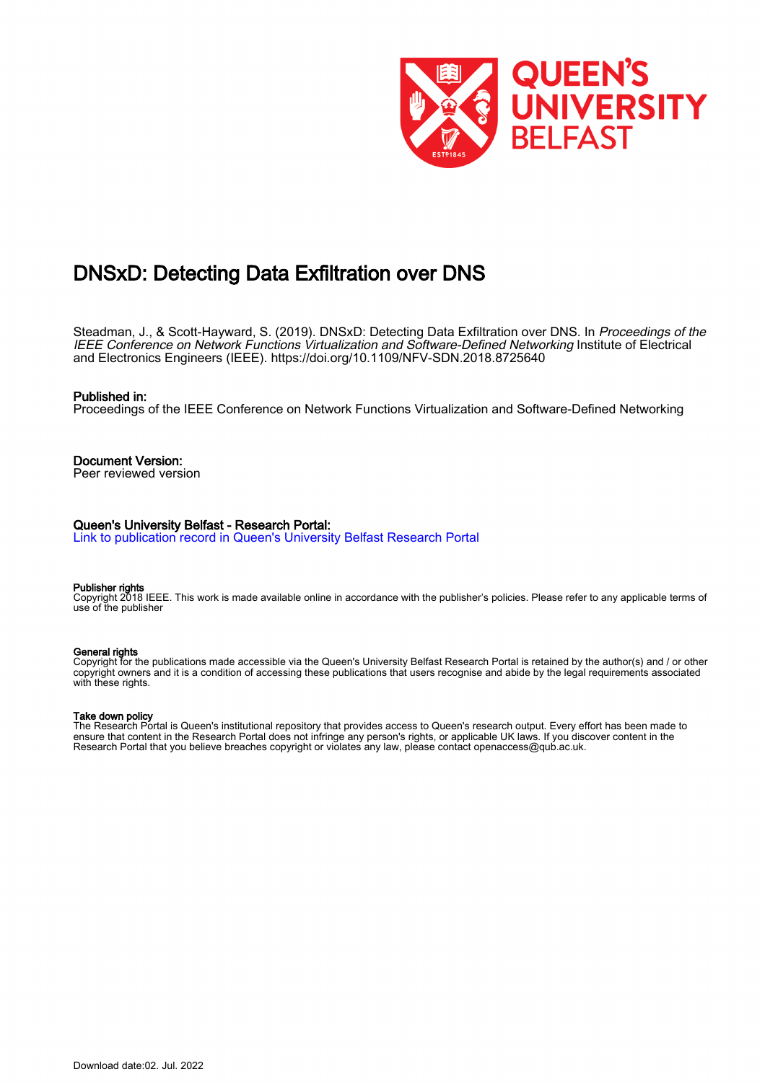

## DNSxD: Detecting Data Exfiltration over DNS

Steadman, J., & Scott-Hayward, S. (2019). DNSxD: Detecting Data Exfiltration over DNS. In Proceedings of the IEEE Conference on Network Functions Virtualization and Software-Defined Networking Institute of Electrical and Electronics Engineers (IEEE). <https://doi.org/10.1109/NFV-SDN.2018.8725640>

### Published in:

Proceedings of the IEEE Conference on Network Functions Virtualization and Software-Defined Networking

### Document Version:

Peer reviewed version

### Queen's University Belfast - Research Portal:

[Link to publication record in Queen's University Belfast Research Portal](https://pure.qub.ac.uk/en/publications/6cbf7fbb-2030-47f4-8760-1893d838c1cc)

#### Publisher rights

Copyright 2018 IEEE. This work is made available online in accordance with the publisher's policies. Please refer to any applicable terms of use of the publisher

#### General rights

Copyright for the publications made accessible via the Queen's University Belfast Research Portal is retained by the author(s) and / or other copyright owners and it is a condition of accessing these publications that users recognise and abide by the legal requirements associated with these rights.

#### Take down policy

The Research Portal is Queen's institutional repository that provides access to Queen's research output. Every effort has been made to ensure that content in the Research Portal does not infringe any person's rights, or applicable UK laws. If you discover content in the Research Portal that you believe breaches copyright or violates any law, please contact openaccess@qub.ac.uk.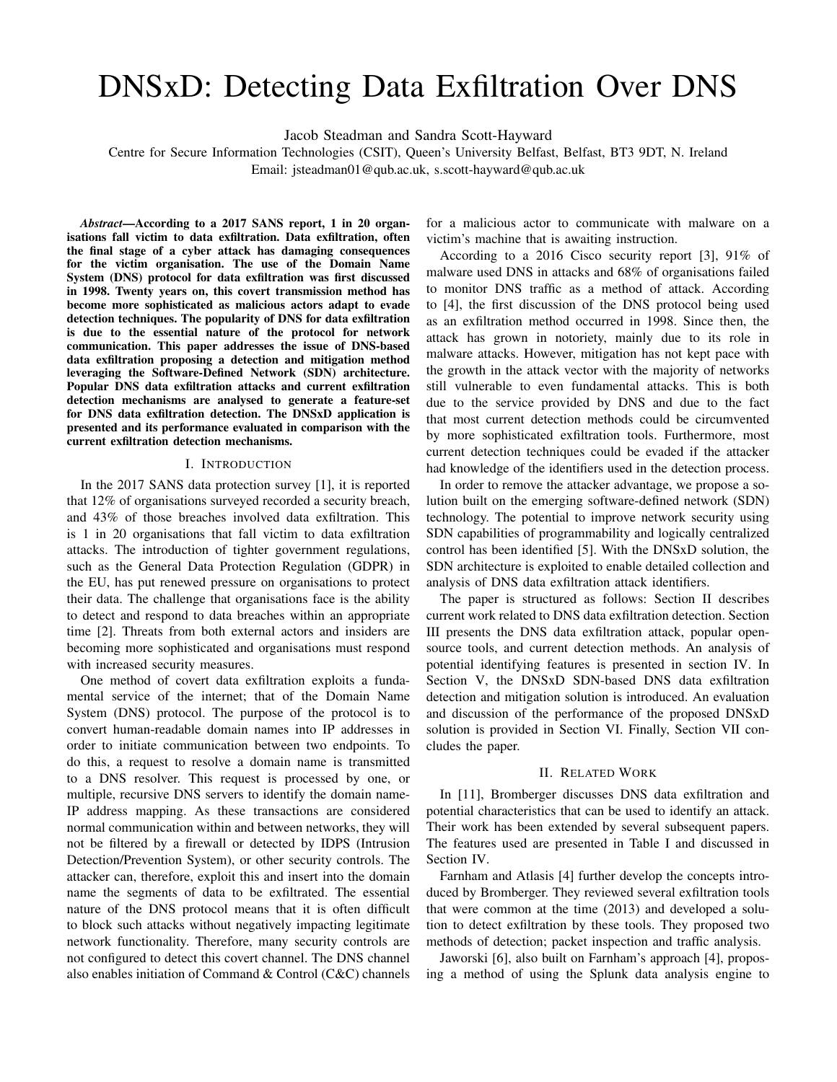# DNSxD: Detecting Data Exfiltration Over DNS

Jacob Steadman and Sandra Scott-Hayward

Centre for Secure Information Technologies (CSIT), Queen's University Belfast, Belfast, BT3 9DT, N. Ireland

Email: jsteadman01@qub.ac.uk, s.scott-hayward@qub.ac.uk

*Abstract*—According to a 2017 SANS report, 1 in 20 organisations fall victim to data exfiltration. Data exfiltration, often the final stage of a cyber attack has damaging consequences for the victim organisation. The use of the Domain Name System (DNS) protocol for data exfiltration was first discussed in 1998. Twenty years on, this covert transmission method has become more sophisticated as malicious actors adapt to evade detection techniques. The popularity of DNS for data exfiltration is due to the essential nature of the protocol for network communication. This paper addresses the issue of DNS-based data exfiltration proposing a detection and mitigation method leveraging the Software-Defined Network (SDN) architecture. Popular DNS data exfiltration attacks and current exfiltration detection mechanisms are analysed to generate a feature-set for DNS data exfiltration detection. The DNSxD application is presented and its performance evaluated in comparison with the current exfiltration detection mechanisms.

#### I. INTRODUCTION

In the 2017 SANS data protection survey [1], it is reported that 12% of organisations surveyed recorded a security breach, and 43% of those breaches involved data exfiltration. This is 1 in 20 organisations that fall victim to data exfiltration attacks. The introduction of tighter government regulations, such as the General Data Protection Regulation (GDPR) in the EU, has put renewed pressure on organisations to protect their data. The challenge that organisations face is the ability to detect and respond to data breaches within an appropriate time [2]. Threats from both external actors and insiders are becoming more sophisticated and organisations must respond with increased security measures.

One method of covert data exfiltration exploits a fundamental service of the internet; that of the Domain Name System (DNS) protocol. The purpose of the protocol is to convert human-readable domain names into IP addresses in order to initiate communication between two endpoints. To do this, a request to resolve a domain name is transmitted to a DNS resolver. This request is processed by one, or multiple, recursive DNS servers to identify the domain name-IP address mapping. As these transactions are considered normal communication within and between networks, they will not be filtered by a firewall or detected by IDPS (Intrusion Detection/Prevention System), or other security controls. The attacker can, therefore, exploit this and insert into the domain name the segments of data to be exfiltrated. The essential nature of the DNS protocol means that it is often difficult to block such attacks without negatively impacting legitimate network functionality. Therefore, many security controls are not configured to detect this covert channel. The DNS channel also enables initiation of Command & Control (C&C) channels

for a malicious actor to communicate with malware on a victim's machine that is awaiting instruction.

According to a 2016 Cisco security report [3], 91% of malware used DNS in attacks and 68% of organisations failed to monitor DNS traffic as a method of attack. According to [4], the first discussion of the DNS protocol being used as an exfiltration method occurred in 1998. Since then, the attack has grown in notoriety, mainly due to its role in malware attacks. However, mitigation has not kept pace with the growth in the attack vector with the majority of networks still vulnerable to even fundamental attacks. This is both due to the service provided by DNS and due to the fact that most current detection methods could be circumvented by more sophisticated exfiltration tools. Furthermore, most current detection techniques could be evaded if the attacker had knowledge of the identifiers used in the detection process.

In order to remove the attacker advantage, we propose a solution built on the emerging software-defined network (SDN) technology. The potential to improve network security using SDN capabilities of programmability and logically centralized control has been identified [5]. With the DNSxD solution, the SDN architecture is exploited to enable detailed collection and analysis of DNS data exfiltration attack identifiers.

The paper is structured as follows: Section II describes current work related to DNS data exfiltration detection. Section III presents the DNS data exfiltration attack, popular opensource tools, and current detection methods. An analysis of potential identifying features is presented in section IV. In Section V, the DNSxD SDN-based DNS data exfiltration detection and mitigation solution is introduced. An evaluation and discussion of the performance of the proposed DNSxD solution is provided in Section VI. Finally, Section VII concludes the paper.

#### II. RELATED WORK

In [11], Bromberger discusses DNS data exfiltration and potential characteristics that can be used to identify an attack. Their work has been extended by several subsequent papers. The features used are presented in Table I and discussed in Section IV.

Farnham and Atlasis [4] further develop the concepts introduced by Bromberger. They reviewed several exfiltration tools that were common at the time (2013) and developed a solution to detect exfiltration by these tools. They proposed two methods of detection; packet inspection and traffic analysis.

Jaworski [6], also built on Farnham's approach [4], proposing a method of using the Splunk data analysis engine to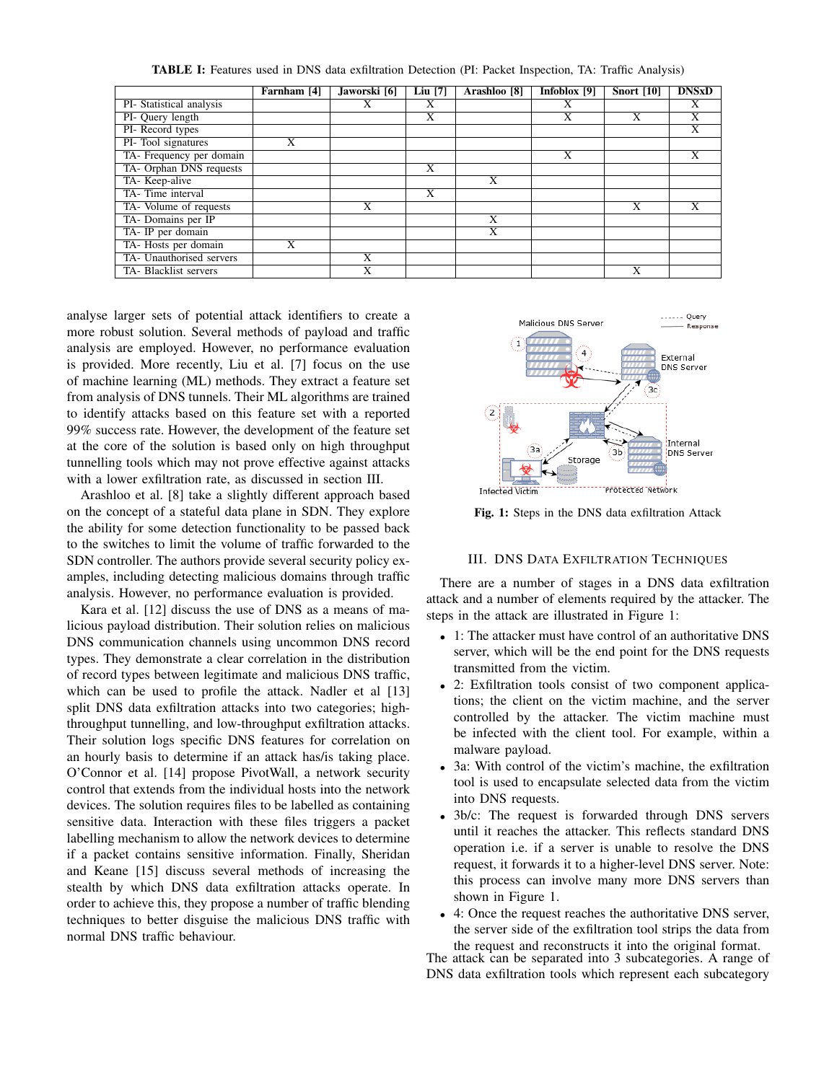|                          | Farnham [4] | Jaworski [6]   | Liu $[7]$               | Arashloo [8]            | Infoblox [9] | Snort $[10]$ | <b>DNSxD</b> |
|--------------------------|-------------|----------------|-------------------------|-------------------------|--------------|--------------|--------------|
| PI- Statistical analysis |             | X              | X                       |                         | X            |              | X            |
| PI- Query length         |             |                | $\overline{X}$          |                         | X            | X            | X            |
| PI-Record types          |             |                |                         |                         |              |              | X            |
| PI- Tool signatures      | X           |                |                         |                         |              |              |              |
| TA- Frequency per domain |             |                |                         |                         | X            |              | X            |
| TA- Orphan DNS requests  |             |                | X                       |                         |              |              |              |
| TA-Keep-alive            |             |                |                         | $\overline{\mathbf{x}}$ |              |              |              |
| TA-Time interval         |             |                | $\overline{\mathbf{x}}$ |                         |              |              |              |
| TA- Volume of requests   |             | X              |                         |                         |              | X            | X            |
| TA- Domains per IP       |             |                |                         | X                       |              |              |              |
| TA-IP per domain         |             |                |                         | X                       |              |              |              |
| TA- Hosts per domain     | X           |                |                         |                         |              |              |              |
| TA- Unauthorised servers |             | X              |                         |                         |              |              |              |
| TA- Blacklist servers    |             | $\overline{X}$ |                         |                         |              | X            |              |

TABLE I: Features used in DNS data exfiltration Detection (PI: Packet Inspection, TA: Traffic Analysis)

analyse larger sets of potential attack identifiers to create a more robust solution. Several methods of payload and traffic analysis are employed. However, no performance evaluation is provided. More recently, Liu et al. [7] focus on the use of machine learning (ML) methods. They extract a feature set from analysis of DNS tunnels. Their ML algorithms are trained to identify attacks based on this feature set with a reported 99% success rate. However, the development of the feature set at the core of the solution is based only on high throughput tunnelling tools which may not prove effective against attacks with a lower exfiltration rate, as discussed in section III.

Arashloo et al. [8] take a slightly different approach based on the concept of a stateful data plane in SDN. They explore the ability for some detection functionality to be passed back to the switches to limit the volume of traffic forwarded to the SDN controller. The authors provide several security policy examples, including detecting malicious domains through traffic analysis. However, no performance evaluation is provided.

Kara et al. [12] discuss the use of DNS as a means of malicious payload distribution. Their solution relies on malicious DNS communication channels using uncommon DNS record types. They demonstrate a clear correlation in the distribution of record types between legitimate and malicious DNS traffic, which can be used to profile the attack. Nadler et al [13] split DNS data exfiltration attacks into two categories; highthroughput tunnelling, and low-throughput exfiltration attacks. Their solution logs specific DNS features for correlation on an hourly basis to determine if an attack has/is taking place. O'Connor et al. [14] propose PivotWall, a network security control that extends from the individual hosts into the network devices. The solution requires files to be labelled as containing sensitive data. Interaction with these files triggers a packet labelling mechanism to allow the network devices to determine if a packet contains sensitive information. Finally, Sheridan and Keane [15] discuss several methods of increasing the stealth by which DNS data exfiltration attacks operate. In order to achieve this, they propose a number of traffic blending techniques to better disguise the malicious DNS traffic with normal DNS traffic behaviour.



Fig. 1: Steps in the DNS data exfiltration Attack

#### III. DNS DATA EXFILTRATION TECHNIQUES

There are a number of stages in a DNS data exfiltration attack and a number of elements required by the attacker. The steps in the attack are illustrated in Figure 1:

- 1: The attacker must have control of an authoritative DNS server, which will be the end point for the DNS requests transmitted from the victim.
- 2: Exfiltration tools consist of two component applications; the client on the victim machine, and the server controlled by the attacker. The victim machine must be infected with the client tool. For example, within a malware payload.
- 3a: With control of the victim's machine, the exfiltration tool is used to encapsulate selected data from the victim into DNS requests.
- 3b/c: The request is forwarded through DNS servers until it reaches the attacker. This reflects standard DNS operation i.e. if a server is unable to resolve the DNS request, it forwards it to a higher-level DNS server. Note: this process can involve many more DNS servers than shown in Figure 1.
- 4: Once the request reaches the authoritative DNS server, the server side of the exfiltration tool strips the data from the request and reconstructs it into the original format.

The attack can be separated into 3 subcategories. A range of DNS data exfiltration tools which represent each subcategory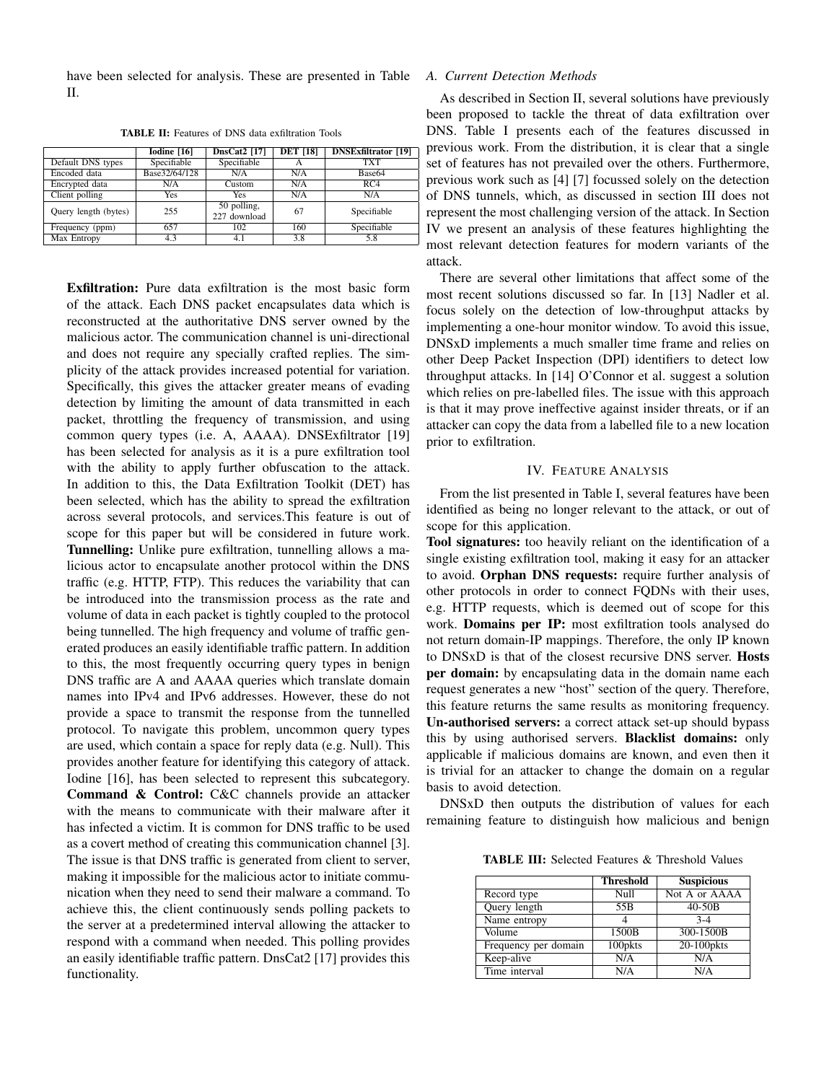have been selected for analysis. These are presented in Table *A. Current Detection Methods* II.

TABLE II: Features of DNS data exfiltration Tools

|                      | Iodine $[16]$ | <b>DnsCat2</b> [17]         | <b>DET</b> [18] | <b>DNSExfiltrator</b> [19] |
|----------------------|---------------|-----------------------------|-----------------|----------------------------|
| Default DNS types    | Specifiable   | Specifiable                 | А               | <b>TXT</b>                 |
| Encoded data         | Base32/64/128 | N/A                         | N/A             | Base <sub>64</sub>         |
| Encrypted data       | N/A           | Custom                      | N/A             | RC4                        |
| Client polling       | Yes           | Yes                         | N/A             | N/A                        |
| Query length (bytes) | 255           | 50 polling,<br>227 download | 67              | Specifiable                |
| Frequency (ppm)      | 657           | 102                         | 160             | Specifiable                |
| Max Entropy          | 4.3           | 4.1                         | 3.8             | 5.8                        |

Exfiltration: Pure data exfiltration is the most basic form of the attack. Each DNS packet encapsulates data which is reconstructed at the authoritative DNS server owned by the malicious actor. The communication channel is uni-directional and does not require any specially crafted replies. The simplicity of the attack provides increased potential for variation. Specifically, this gives the attacker greater means of evading detection by limiting the amount of data transmitted in each packet, throttling the frequency of transmission, and using common query types (i.e. A, AAAA). DNSExfiltrator [19] has been selected for analysis as it is a pure exfiltration tool with the ability to apply further obfuscation to the attack. In addition to this, the Data Exfiltration Toolkit (DET) has been selected, which has the ability to spread the exfiltration across several protocols, and services.This feature is out of scope for this paper but will be considered in future work. Tunnelling: Unlike pure exfiltration, tunnelling allows a malicious actor to encapsulate another protocol within the DNS traffic (e.g. HTTP, FTP). This reduces the variability that can be introduced into the transmission process as the rate and volume of data in each packet is tightly coupled to the protocol being tunnelled. The high frequency and volume of traffic generated produces an easily identifiable traffic pattern. In addition to this, the most frequently occurring query types in benign DNS traffic are A and AAAA queries which translate domain names into IPv4 and IPv6 addresses. However, these do not provide a space to transmit the response from the tunnelled protocol. To navigate this problem, uncommon query types are used, which contain a space for reply data (e.g. Null). This provides another feature for identifying this category of attack. Iodine [16], has been selected to represent this subcategory. Command & Control: C&C channels provide an attacker with the means to communicate with their malware after it has infected a victim. It is common for DNS traffic to be used as a covert method of creating this communication channel [3]. The issue is that DNS traffic is generated from client to server, making it impossible for the malicious actor to initiate communication when they need to send their malware a command. To achieve this, the client continuously sends polling packets to the server at a predetermined interval allowing the attacker to respond with a command when needed. This polling provides an easily identifiable traffic pattern. DnsCat2 [17] provides this functionality.

As described in Section II, several solutions have previously been proposed to tackle the threat of data exfiltration over DNS. Table I presents each of the features discussed in previous work. From the distribution, it is clear that a single set of features has not prevailed over the others. Furthermore, previous work such as [4] [7] focussed solely on the detection of DNS tunnels, which, as discussed in section III does not represent the most challenging version of the attack. In Section IV we present an analysis of these features highlighting the most relevant detection features for modern variants of the attack.

There are several other limitations that affect some of the most recent solutions discussed so far. In [13] Nadler et al. focus solely on the detection of low-throughput attacks by implementing a one-hour monitor window. To avoid this issue, DNSxD implements a much smaller time frame and relies on other Deep Packet Inspection (DPI) identifiers to detect low throughput attacks. In [14] O'Connor et al. suggest a solution which relies on pre-labelled files. The issue with this approach is that it may prove ineffective against insider threats, or if an attacker can copy the data from a labelled file to a new location prior to exfiltration.

#### IV. FEATURE ANALYSIS

From the list presented in Table I, several features have been identified as being no longer relevant to the attack, or out of scope for this application.

Tool signatures: too heavily reliant on the identification of a single existing exfiltration tool, making it easy for an attacker to avoid. Orphan DNS requests: require further analysis of other protocols in order to connect FQDNs with their uses, e.g. HTTP requests, which is deemed out of scope for this work. Domains per IP: most exfiltration tools analysed do not return domain-IP mappings. Therefore, the only IP known to DNSxD is that of the closest recursive DNS server. Hosts per domain: by encapsulating data in the domain name each request generates a new "host" section of the query. Therefore, this feature returns the same results as monitoring frequency. Un-authorised servers: a correct attack set-up should bypass this by using authorised servers. Blacklist domains: only applicable if malicious domains are known, and even then it is trivial for an attacker to change the domain on a regular basis to avoid detection.

DNSxD then outputs the distribution of values for each remaining feature to distinguish how malicious and benign

TABLE III: Selected Features & Threshold Values

|                      | <b>Threshold</b> | <b>Suspicious</b>         |  |
|----------------------|------------------|---------------------------|--|
| Record type          | Null             | Not A or AAAA             |  |
| Query length         | 55 <sub>B</sub>  | $40-50B$                  |  |
| Name entropy         | 4                | $3 - 4$                   |  |
| Volume               | 1500B            | 300-1500B                 |  |
| Frequency per domain | 100pkts          | $20-100$ <sub>p</sub> kts |  |
| Keep-alive           | N/A              | N/A                       |  |
| Time interval        | N/A              | N/A                       |  |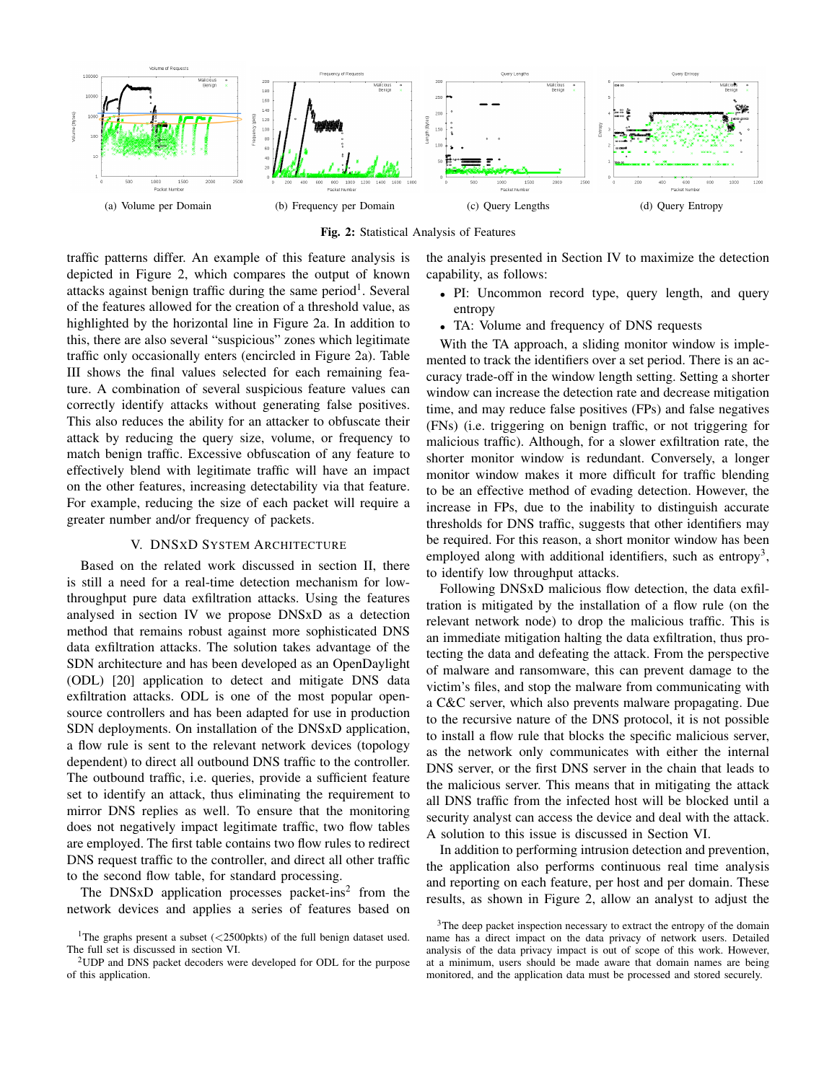

Fig. 2: Statistical Analysis of Features

traffic patterns differ. An example of this feature analysis is depicted in Figure 2, which compares the output of known attacks against benign traffic during the same period<sup>1</sup>. Several of the features allowed for the creation of a threshold value, as highlighted by the horizontal line in Figure 2a. In addition to this, there are also several "suspicious" zones which legitimate traffic only occasionally enters (encircled in Figure 2a). Table III shows the final values selected for each remaining feature. A combination of several suspicious feature values can correctly identify attacks without generating false positives. This also reduces the ability for an attacker to obfuscate their attack by reducing the query size, volume, or frequency to match benign traffic. Excessive obfuscation of any feature to effectively blend with legitimate traffic will have an impact on the other features, increasing detectability via that feature. For example, reducing the size of each packet will require a greater number and/or frequency of packets.

#### V. DNSXD SYSTEM ARCHITECTURE

Based on the related work discussed in section II, there is still a need for a real-time detection mechanism for lowthroughput pure data exfiltration attacks. Using the features analysed in section IV we propose DNSxD as a detection method that remains robust against more sophisticated DNS data exfiltration attacks. The solution takes advantage of the SDN architecture and has been developed as an OpenDaylight (ODL) [20] application to detect and mitigate DNS data exfiltration attacks. ODL is one of the most popular opensource controllers and has been adapted for use in production SDN deployments. On installation of the DNSxD application, a flow rule is sent to the relevant network devices (topology dependent) to direct all outbound DNS traffic to the controller. The outbound traffic, i.e. queries, provide a sufficient feature set to identify an attack, thus eliminating the requirement to mirror DNS replies as well. To ensure that the monitoring does not negatively impact legitimate traffic, two flow tables are employed. The first table contains two flow rules to redirect DNS request traffic to the controller, and direct all other traffic to the second flow table, for standard processing.

The DNSxD application processes packet-ins<sup>2</sup> from the network devices and applies a series of features based on the analyis presented in Section IV to maximize the detection capability, as follows:

- PI: Uncommon record type, query length, and query entropy
- TA: Volume and frequency of DNS requests

With the TA approach, a sliding monitor window is implemented to track the identifiers over a set period. There is an accuracy trade-off in the window length setting. Setting a shorter window can increase the detection rate and decrease mitigation time, and may reduce false positives (FPs) and false negatives (FNs) (i.e. triggering on benign traffic, or not triggering for malicious traffic). Although, for a slower exfiltration rate, the shorter monitor window is redundant. Conversely, a longer monitor window makes it more difficult for traffic blending to be an effective method of evading detection. However, the increase in FPs, due to the inability to distinguish accurate thresholds for DNS traffic, suggests that other identifiers may be required. For this reason, a short monitor window has been employed along with additional identifiers, such as entropy<sup>3</sup>, to identify low throughput attacks.

Following DNSxD malicious flow detection, the data exfiltration is mitigated by the installation of a flow rule (on the relevant network node) to drop the malicious traffic. This is an immediate mitigation halting the data exfiltration, thus protecting the data and defeating the attack. From the perspective of malware and ransomware, this can prevent damage to the victim's files, and stop the malware from communicating with a C&C server, which also prevents malware propagating. Due to the recursive nature of the DNS protocol, it is not possible to install a flow rule that blocks the specific malicious server, as the network only communicates with either the internal DNS server, or the first DNS server in the chain that leads to the malicious server. This means that in mitigating the attack all DNS traffic from the infected host will be blocked until a security analyst can access the device and deal with the attack. A solution to this issue is discussed in Section VI.

In addition to performing intrusion detection and prevention, the application also performs continuous real time analysis and reporting on each feature, per host and per domain. These results, as shown in Figure 2, allow an analyst to adjust the

<sup>&</sup>lt;sup>1</sup>The graphs present a subset  $(<2500$ pkts) of the full benign dataset used. The full set is discussed in section VI.

 $2$ UDP and DNS packet decoders were developed for ODL for the purpose of this application.

<sup>&</sup>lt;sup>3</sup>The deep packet inspection necessary to extract the entropy of the domain name has a direct impact on the data privacy of network users. Detailed analysis of the data privacy impact is out of scope of this work. However, at a minimum, users should be made aware that domain names are being monitored, and the application data must be processed and stored securely.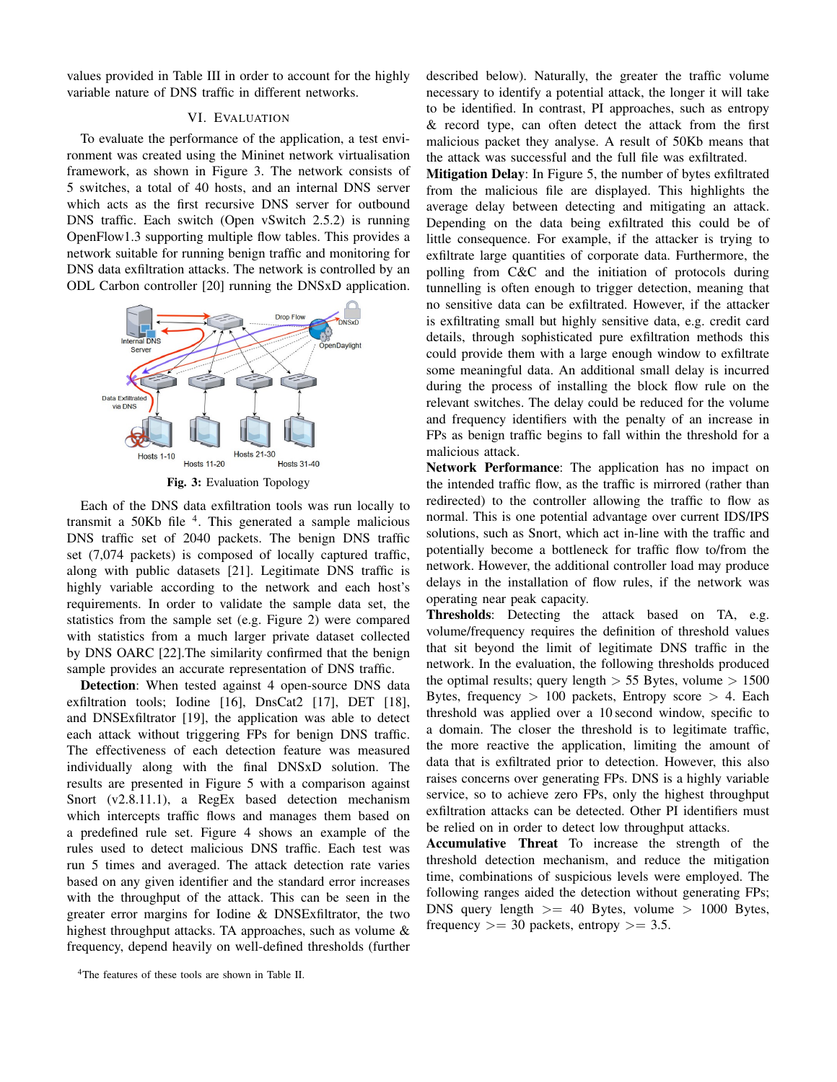values provided in Table III in order to account for the highly variable nature of DNS traffic in different networks.

#### VI. EVALUATION

To evaluate the performance of the application, a test environment was created using the Mininet network virtualisation framework, as shown in Figure 3. The network consists of 5 switches, a total of 40 hosts, and an internal DNS server which acts as the first recursive DNS server for outbound DNS traffic. Each switch (Open vSwitch 2.5.2) is running OpenFlow1.3 supporting multiple flow tables. This provides a network suitable for running benign traffic and monitoring for DNS data exfiltration attacks. The network is controlled by an ODL Carbon controller [20] running the DNSxD application.



Fig. 3: Evaluation Topology

Each of the DNS data exfiltration tools was run locally to transmit a 50Kb file <sup>4</sup>. This generated a sample malicious DNS traffic set of 2040 packets. The benign DNS traffic set (7,074 packets) is composed of locally captured traffic, along with public datasets [21]. Legitimate DNS traffic is highly variable according to the network and each host's requirements. In order to validate the sample data set, the statistics from the sample set (e.g. Figure 2) were compared with statistics from a much larger private dataset collected by DNS OARC [22].The similarity confirmed that the benign sample provides an accurate representation of DNS traffic.

Detection: When tested against 4 open-source DNS data exfiltration tools; Iodine [16], DnsCat2 [17], DET [18], and DNSExfiltrator [19], the application was able to detect each attack without triggering FPs for benign DNS traffic. The effectiveness of each detection feature was measured individually along with the final DNSxD solution. The results are presented in Figure 5 with a comparison against Snort (v2.8.11.1), a RegEx based detection mechanism which intercepts traffic flows and manages them based on a predefined rule set. Figure 4 shows an example of the rules used to detect malicious DNS traffic. Each test was run 5 times and averaged. The attack detection rate varies based on any given identifier and the standard error increases with the throughput of the attack. This can be seen in the greater error margins for Iodine & DNSExfiltrator, the two highest throughput attacks. TA approaches, such as volume & frequency, depend heavily on well-defined thresholds (further described below). Naturally, the greater the traffic volume necessary to identify a potential attack, the longer it will take to be identified. In contrast, PI approaches, such as entropy & record type, can often detect the attack from the first malicious packet they analyse. A result of 50Kb means that the attack was successful and the full file was exfiltrated.

Mitigation Delay: In Figure 5, the number of bytes exfiltrated from the malicious file are displayed. This highlights the average delay between detecting and mitigating an attack. Depending on the data being exfiltrated this could be of little consequence. For example, if the attacker is trying to exfiltrate large quantities of corporate data. Furthermore, the polling from C&C and the initiation of protocols during tunnelling is often enough to trigger detection, meaning that no sensitive data can be exfiltrated. However, if the attacker is exfiltrating small but highly sensitive data, e.g. credit card details, through sophisticated pure exfiltration methods this could provide them with a large enough window to exfiltrate some meaningful data. An additional small delay is incurred during the process of installing the block flow rule on the relevant switches. The delay could be reduced for the volume and frequency identifiers with the penalty of an increase in FPs as benign traffic begins to fall within the threshold for a malicious attack.

Network Performance: The application has no impact on the intended traffic flow, as the traffic is mirrored (rather than redirected) to the controller allowing the traffic to flow as normal. This is one potential advantage over current IDS/IPS solutions, such as Snort, which act in-line with the traffic and potentially become a bottleneck for traffic flow to/from the network. However, the additional controller load may produce delays in the installation of flow rules, if the network was operating near peak capacity.

Thresholds: Detecting the attack based on TA, e.g. volume/frequency requires the definition of threshold values that sit beyond the limit of legitimate DNS traffic in the network. In the evaluation, the following thresholds produced the optimal results; query length  $> 55$  Bytes, volume  $> 1500$ Bytes, frequency  $> 100$  packets, Entropy score  $> 4$ . Each threshold was applied over a 10 second window, specific to a domain. The closer the threshold is to legitimate traffic, the more reactive the application, limiting the amount of data that is exfiltrated prior to detection. However, this also raises concerns over generating FPs. DNS is a highly variable service, so to achieve zero FPs, only the highest throughput exfiltration attacks can be detected. Other PI identifiers must be relied on in order to detect low throughput attacks.

Accumulative Threat To increase the strength of the threshold detection mechanism, and reduce the mitigation time, combinations of suspicious levels were employed. The following ranges aided the detection without generating FPs; DNS query length  $>= 40$  Bytes, volume  $> 1000$  Bytes, frequency  $>= 30$  packets, entropy  $>= 3.5$ .

<sup>4</sup>The features of these tools are shown in Table II.